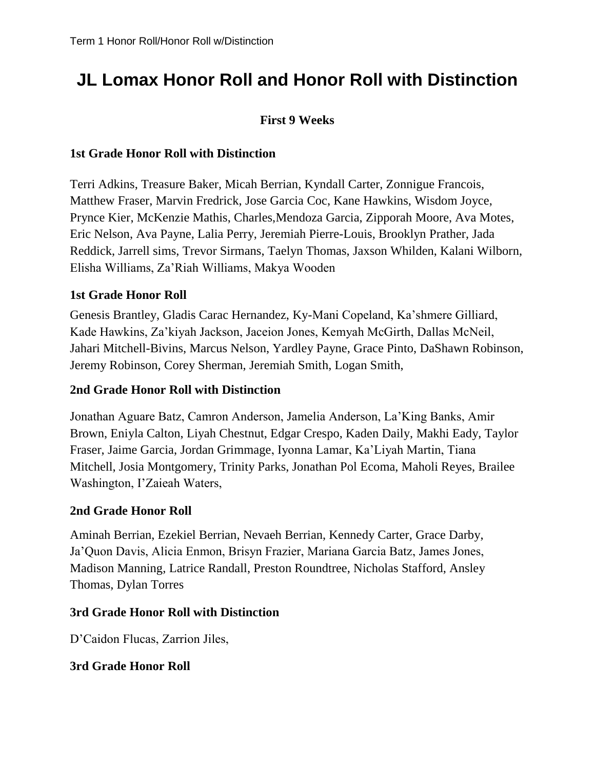# **JL Lomax Honor Roll and Honor Roll with Distinction**

# **First 9 Weeks**

#### **1st Grade Honor Roll with Distinction**

Terri Adkins, Treasure Baker, Micah Berrian, Kyndall Carter, Zonnigue Francois, Matthew Fraser, Marvin Fredrick, Jose Garcia Coc, Kane Hawkins, Wisdom Joyce, Prynce Kier, McKenzie Mathis, Charles,Mendoza Garcia, Zipporah Moore, Ava Motes, Eric Nelson, Ava Payne, Lalia Perry, Jeremiah Pierre-Louis, Brooklyn Prather, Jada Reddick, Jarrell sims, Trevor Sirmans, Taelyn Thomas, Jaxson Whilden, Kalani Wilborn, Elisha Williams, Za'Riah Williams, Makya Wooden

## **1st Grade Honor Roll**

Genesis Brantley, Gladis Carac Hernandez, Ky-Mani Copeland, Ka'shmere Gilliard, Kade Hawkins, Za'kiyah Jackson, Jaceion Jones, Kemyah McGirth, Dallas McNeil, Jahari Mitchell-Bivins, Marcus Nelson, Yardley Payne, Grace Pinto, DaShawn Robinson, Jeremy Robinson, Corey Sherman, Jeremiah Smith, Logan Smith,

#### **2nd Grade Honor Roll with Distinction**

Jonathan Aguare Batz, Camron Anderson, Jamelia Anderson, La'King Banks, Amir Brown, Eniyla Calton, Liyah Chestnut, Edgar Crespo, Kaden Daily, Makhi Eady, Taylor Fraser, Jaime Garcia, Jordan Grimmage, Iyonna Lamar, Ka'Liyah Martin, Tiana Mitchell, Josia Montgomery, Trinity Parks, Jonathan Pol Ecoma, Maholi Reyes, Brailee Washington, I'Zaieah Waters,

#### **2nd Grade Honor Roll**

Aminah Berrian, Ezekiel Berrian, Nevaeh Berrian, Kennedy Carter, Grace Darby, Ja'Quon Davis, Alicia Enmon, Brisyn Frazier, Mariana Garcia Batz, James Jones, Madison Manning, Latrice Randall, Preston Roundtree, Nicholas Stafford, Ansley Thomas, Dylan Torres

#### **3rd Grade Honor Roll with Distinction**

D'Caidon Flucas, Zarrion Jiles,

#### **3rd Grade Honor Roll**